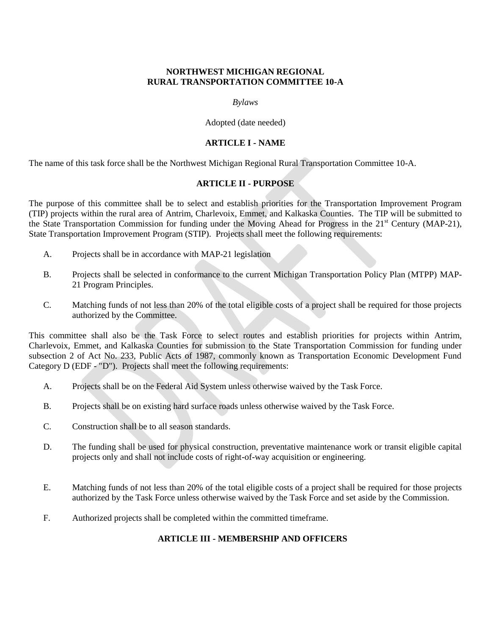#### **NORTHWEST MICHIGAN REGIONAL RURAL TRANSPORTATION COMMITTEE 10-A**

#### *Bylaws*

Adopted (date needed)

## **ARTICLE I - NAME**

The name of this task force shall be the Northwest Michigan Regional Rural Transportation Committee 10-A.

## **ARTICLE II - PURPOSE**

The purpose of this committee shall be to select and establish priorities for the Transportation Improvement Program (TIP) projects within the rural area of Antrim, Charlevoix, Emmet, and Kalkaska Counties. The TIP will be submitted to the State Transportation Commission for funding under the Moving Ahead for Progress in the 21<sup>st</sup> Century (MAP-21), State Transportation Improvement Program (STIP). Projects shall meet the following requirements:

- A. Projects shall be in accordance with MAP-21 legislation
- B. Projects shall be selected in conformance to the current Michigan Transportation Policy Plan (MTPP) MAP-21 Program Principles.
- C. Matching funds of not less than 20% of the total eligible costs of a project shall be required for those projects authorized by the Committee.

This committee shall also be the Task Force to select routes and establish priorities for projects within Antrim, Charlevoix, Emmet, and Kalkaska Counties for submission to the State Transportation Commission for funding under subsection 2 of Act No. 233, Public Acts of 1987, commonly known as Transportation Economic Development Fund Category D (EDF - "D"). Projects shall meet the following requirements:

- A. Projects shall be on the Federal Aid System unless otherwise waived by the Task Force.
- B. Projects shall be on existing hard surface roads unless otherwise waived by the Task Force.
- C. Construction shall be to all season standards.
- D. The funding shall be used for physical construction, preventative maintenance work or transit eligible capital projects only and shall not include costs of right-of-way acquisition or engineering.
- E. Matching funds of not less than 20% of the total eligible costs of a project shall be required for those projects authorized by the Task Force unless otherwise waived by the Task Force and set aside by the Commission.
- F. Authorized projects shall be completed within the committed timeframe.

# **ARTICLE III - MEMBERSHIP AND OFFICERS**